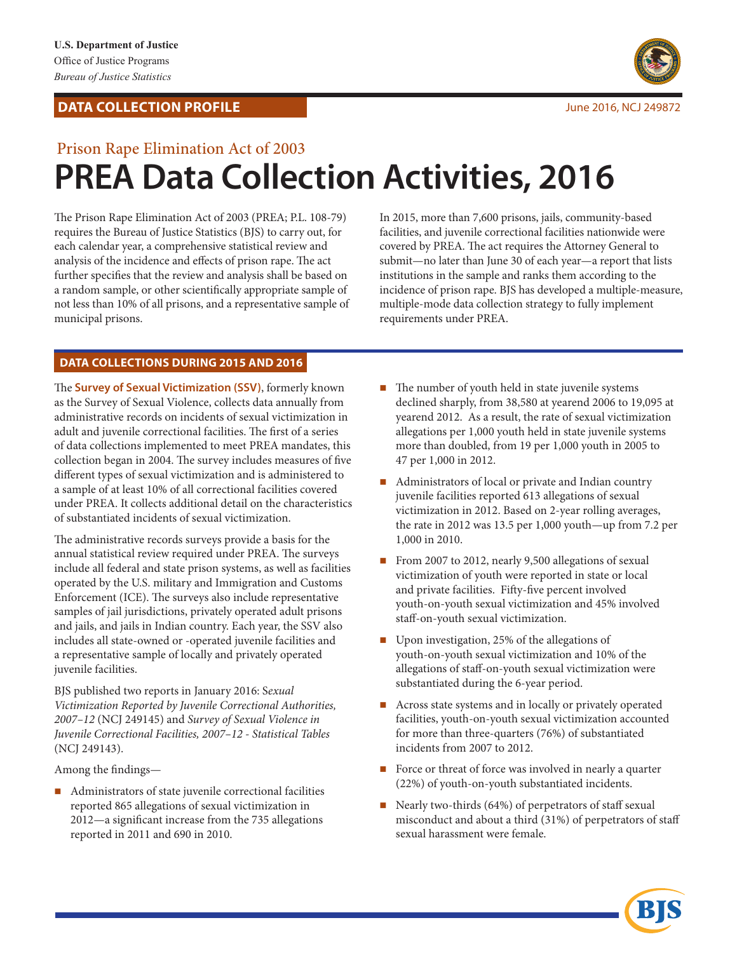## **DATA COLLECTION PROFILE COLLECTION PROFILE June 2016, NCJ 249872**



# Prison Rape Elimination Act of 2003 **PREA Data Collection Activities, 2016**

The Prison Rape Elimination Act of 2003 (PREA; P.L. 108-79) requires the Bureau of Justice Statistics (BJS) to carry out, for each calendar year, a comprehensive statistical review and analysis of the incidence and effects of prison rape. The act further specifies that the review and analysis shall be based on a random sample, or other scientifically appropriate sample of not less than 10% of all prisons, and a representative sample of municipal prisons.

In 2015, more than 7,600 prisons, jails, community-based facilities, and juvenile correctional facilities nationwide were covered by PREA. The act requires the Attorney General to submit—no later than June 30 of each year—a report that lists institutions in the sample and ranks them according to the incidence of prison rape. BJS has developed a multiple-measure, multiple-mode data collection strategy to fully implement requirements under PREA.

## **DATA COLLECTIONS DURING 2015 AND 2016**

The **Survey of Sexual Victimization (SSV)**, formerly known as the Survey of Sexual Violence, collects data annually from administrative records on incidents of sexual victimization in adult and juvenile correctional facilities. The first of a series of data collections implemented to meet PREA mandates, this collection began in 2004. The survey includes measures of five different types of sexual victimization and is administered to a sample of at least 10% of all correctional facilities covered under PREA. It collects additional detail on the characteristics of substantiated incidents of sexual victimization.

The administrative records surveys provide a basis for the annual statistical review required under PREA. The surveys include all federal and state prison systems, as well as facilities operated by the U.S. military and Immigration and Customs Enforcement (ICE). The surveys also include representative samples of jail jurisdictions, privately operated adult prisons and jails, and jails in Indian country. Each year, the SSV also includes all state-owned or -operated juvenile facilities and a representative sample of locally and privately operated juvenile facilities.

BJS published two reports in January 2016: S*exual Victimization Reported by Juvenile Correctional Authorities, 2007–12* (NCJ 249145) and *Survey of Sexual Violence in Juvenile Correctional Facilities, 2007–12 - Statistical Tables* (NCJ 249143).

Among the findings—

■ Administrators of state juvenile correctional facilities reported 865 allegations of sexual victimization in 2012—a significant increase from the 735 allegations reported in 2011 and 690 in 2010.

- $\blacksquare$  The number of youth held in state juvenile systems declined sharply, from 38,580 at yearend 2006 to 19,095 at yearend 2012. As a result, the rate of sexual victimization allegations per 1,000 youth held in state juvenile systems more than doubled, from 19 per 1,000 youth in 2005 to 47 per 1,000 in 2012.
- Administrators of local or private and Indian country juvenile facilities reported 613 allegations of sexual victimization in 2012. Based on 2-year rolling averages, the rate in 2012 was 13.5 per 1,000 youth—up from 7.2 per 1,000 in 2010.
- From 2007 to 2012, nearly 9,500 allegations of sexual victimization of youth were reported in state or local and private facilities. Fifty-five percent involved youth-on-youth sexual victimization and 45% involved staff-on-youth sexual victimization.
- Upon investigation, 25% of the allegations of youth-on-youth sexual victimization and 10% of the allegations of staff-on-youth sexual victimization were substantiated during the 6-year period.
- Across state systems and in locally or privately operated facilities, youth-on-youth sexual victimization accounted for more than three-quarters (76%) of substantiated incidents from 2007 to 2012.
- Force or threat of force was involved in nearly a quarter (22%) of youth-on-youth substantiated incidents.
- Nearly two-thirds  $(64%)$  of perpetrators of staff sexual misconduct and about a third (31%) of perpetrators of staff sexual harassment were female.

KI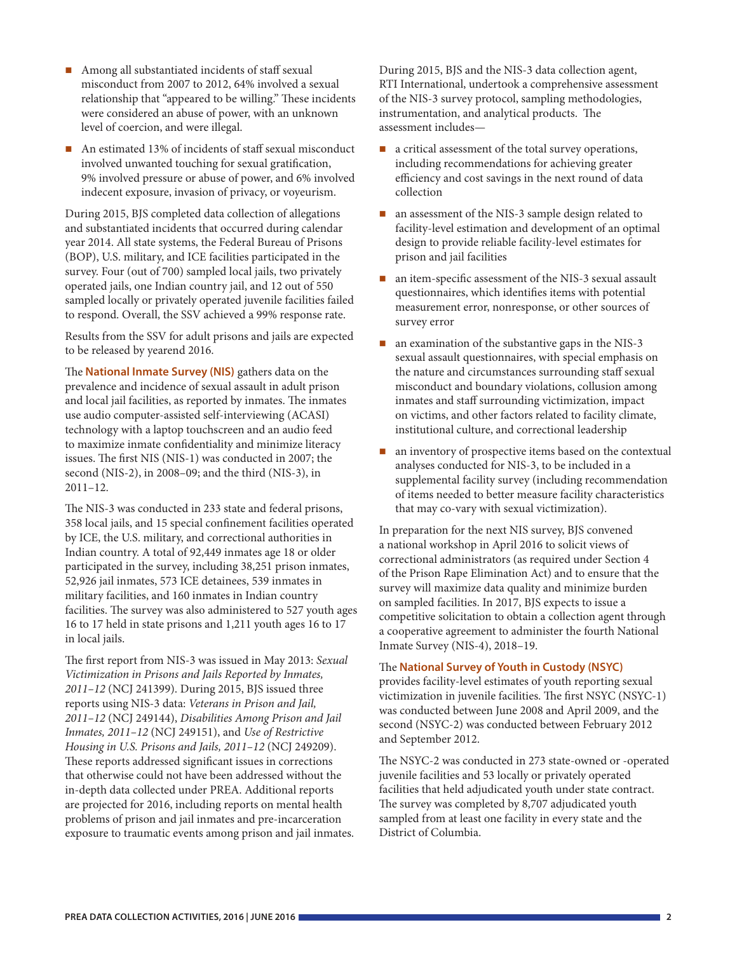- Among all substantiated incidents of staff sexual misconduct from 2007 to 2012, 64% involved a sexual relationship that "appeared to be willing." These incidents were considered an abuse of power, with an unknown level of coercion, and were illegal.
- An estimated 13% of incidents of staff sexual misconduct involved unwanted touching for sexual gratification, 9% involved pressure or abuse of power, and 6% involved indecent exposure, invasion of privacy, or voyeurism.

During 2015, BJS completed data collection of allegations and substantiated incidents that occurred during calendar year 2014. All state systems, the Federal Bureau of Prisons (BOP), U.S. military, and ICE facilities participated in the survey. Four (out of 700) sampled local jails, two privately operated jails, one Indian country jail, and 12 out of 550 sampled locally or privately operated juvenile facilities failed to respond. Overall, the SSV achieved a 99% response rate.

Results from the SSV for adult prisons and jails are expected to be released by yearend 2016.

The **National Inmate Survey (NIS)** gathers data on the prevalence and incidence of sexual assault in adult prison and local jail facilities, as reported by inmates. The inmates use audio computer-assisted self-interviewing (ACASI) technology with a laptop touchscreen and an audio feed to maximize inmate confidentiality and minimize literacy issues. The first NIS (NIS-1) was conducted in 2007; the second (NIS-2), in 2008–09; and the third (NIS-3), in  $2011 - 12$ .

The NIS-3 was conducted in 233 state and federal prisons, 358 local jails, and 15 special confinement facilities operated by ICE, the U.S. military, and correctional authorities in Indian country. A total of 92,449 inmates age 18 or older participated in the survey, including 38,251 prison inmates, 52,926 jail inmates, 573 ICE detainees, 539 inmates in military facilities, and 160 inmates in Indian country facilities. The survey was also administered to 527 youth ages 16 to 17 held in state prisons and 1,211 youth ages 16 to 17 in local jails.

The first report from NIS-3 was issued in May 2013: *Sexual Victimization in Prisons and Jails Reported by Inmates, 2011–12* (NCJ 241399). During 2015, BJS issued three reports using NIS-3 data: *Veterans in Prison and Jail, 2011–12* (NCJ 249144), *Disabilities Among Prison and Jail Inmates, 2011–12* (NCJ 249151), and *Use of Restrictive Housing in U.S. Prisons and Jails, 2011–12* (NCJ 249209). These reports addressed significant issues in corrections that otherwise could not have been addressed without the in-depth data collected under PREA. Additional reports are projected for 2016, including reports on mental health problems of prison and jail inmates and pre-incarceration exposure to traumatic events among prison and jail inmates. During 2015, BJS and the NIS-3 data collection agent, RTI International, undertook a comprehensive assessment of the NIS-3 survey protocol, sampling methodologies, instrumentation, and analytical products. The assessment includes—

- $\blacksquare$  a critical assessment of the total survey operations, including recommendations for achieving greater efficiency and cost savings in the next round of data collection
- an assessment of the NIS-3 sample design related to facility-level estimation and development of an optimal design to provide reliable facility-level estimates for prison and jail facilities
- an item-specific assessment of the NIS-3 sexual assault questionnaires, which identifies items with potential measurement error, nonresponse, or other sources of survey error
- $\blacksquare$  an examination of the substantive gaps in the NIS-3 sexual assault questionnaires, with special emphasis on the nature and circumstances surrounding staff sexual misconduct and boundary violations, collusion among inmates and staff surrounding victimization, impact on victims, and other factors related to facility climate, institutional culture, and correctional leadership
- **n** an inventory of prospective items based on the contextual analyses conducted for NIS-3, to be included in a supplemental facility survey (including recommendation of items needed to better measure facility characteristics that may co-vary with sexual victimization).

In preparation for the next NIS survey, BJS convened a national workshop in April 2016 to solicit views of correctional administrators (as required under Section 4 of the Prison Rape Elimination Act) and to ensure that the survey will maximize data quality and minimize burden on sampled facilities. In 2017, BJS expects to issue a competitive solicitation to obtain a collection agent through a cooperative agreement to administer the fourth National Inmate Survey (NIS-4), 2018–19.

### The **National Survey of Youth in Custody (NSYC)**

provides facility-level estimates of youth reporting sexual victimization in juvenile facilities. The first NSYC (NSYC-1) was conducted between June 2008 and April 2009, and the second (NSYC-2) was conducted between February 2012 and September 2012.

The NSYC-2 was conducted in 273 state-owned or -operated juvenile facilities and 53 locally or privately operated facilities that held adjudicated youth under state contract. The survey was completed by 8,707 adjudicated youth sampled from at least one facility in every state and the District of Columbia.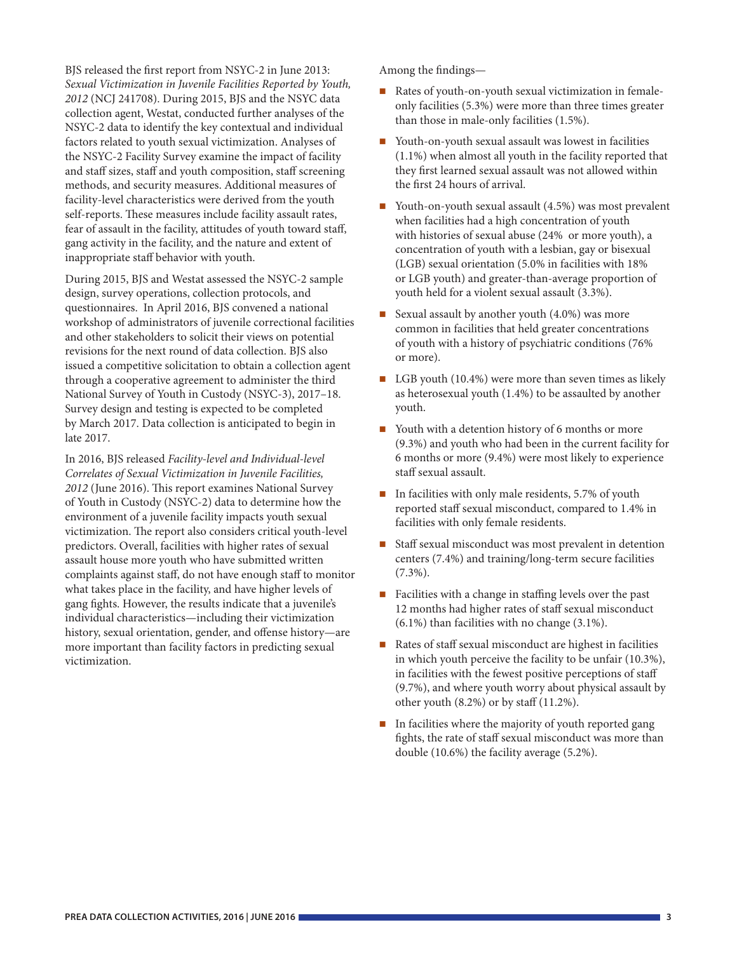BJS released the first report from NSYC-2 in June 2013: *Sexual Victimization in Juvenile Facilities Reported by Youth, 2012* (NCJ 241708). During 2015, BJS and the NSYC data collection agent, Westat, conducted further analyses of the NSYC-2 data to identify the key contextual and individual factors related to youth sexual victimization. Analyses of the NSYC-2 Facility Survey examine the impact of facility and staff sizes, staff and youth composition, staff screening methods, and security measures. Additional measures of facility-level characteristics were derived from the youth self-reports. These measures include facility assault rates, fear of assault in the facility, attitudes of youth toward staff, gang activity in the facility, and the nature and extent of inappropriate staff behavior with youth.

During 2015, BJS and Westat assessed the NSYC-2 sample design, survey operations, collection protocols, and questionnaires. In April 2016, BJS convened a national workshop of administrators of juvenile correctional facilities and other stakeholders to solicit their views on potential revisions for the next round of data collection. BJS also issued a competitive solicitation to obtain a collection agent through a cooperative agreement to administer the third National Survey of Youth in Custody (NSYC-3), 2017–18. Survey design and testing is expected to be completed by March 2017. Data collection is anticipated to begin in late 2017.

In 2016, BJS released *Facility-level and Individual-level Correlates of Sexual Victimization in Juvenile Facilities, 2012* (June 2016). This report examines National Survey of Youth in Custody (NSYC-2) data to determine how the environment of a juvenile facility impacts youth sexual victimization. The report also considers critical youth-level predictors. Overall, facilities with higher rates of sexual assault house more youth who have submitted written complaints against staff, do not have enough staff to monitor what takes place in the facility, and have higher levels of gang fights. However, the results indicate that a juvenile's individual characteristics—including their victimization history, sexual orientation, gender, and offense history—are more important than facility factors in predicting sexual victimization.

Among the findings—

- Rates of youth-on-youth sexual victimization in femaleonly facilities (5.3%) were more than three times greater than those in male-only facilities (1.5%).
- Youth-on-youth sexual assault was lowest in facilities (1.1%) when almost all youth in the facility reported that they first learned sexual assault was not allowed within the first 24 hours of arrival.
- Youth-on-youth sexual assault (4.5%) was most prevalent when facilities had a high concentration of youth with histories of sexual abuse (24% or more youth), a concentration of youth with a lesbian, gay or bisexual (LGB) sexual orientation (5.0% in facilities with 18% or LGB youth) and greater-than-average proportion of youth held for a violent sexual assault (3.3%).
- Sexual assault by another youth  $(4.0\%)$  was more common in facilities that held greater concentrations of youth with a history of psychiatric conditions (76% or more).
- $\Box$  LGB youth (10.4%) were more than seven times as likely as heterosexual youth (1.4%) to be assaulted by another youth.
- Youth with a detention history of 6 months or more (9.3%) and youth who had been in the current facility for 6 months or more (9.4%) were most likely to experience staff sexual assault.
- $\blacksquare$  In facilities with only male residents, 5.7% of youth reported staff sexual misconduct, compared to 1.4% in facilities with only female residents.
- Staff sexual misconduct was most prevalent in detention centers (7.4%) and training/long-term secure facilities (7.3%).
- Facilities with a change in staffing levels over the past 12 months had higher rates of staff sexual misconduct (6.1%) than facilities with no change (3.1%).
- Rates of staff sexual misconduct are highest in facilities in which youth perceive the facility to be unfair (10.3%), in facilities with the fewest positive perceptions of staff (9.7%), and where youth worry about physical assault by other youth  $(8.2\%)$  or by staff  $(11.2\%).$
- $\blacksquare$  In facilities where the majority of youth reported gang fights, the rate of staff sexual misconduct was more than double (10.6%) the facility average (5.2%).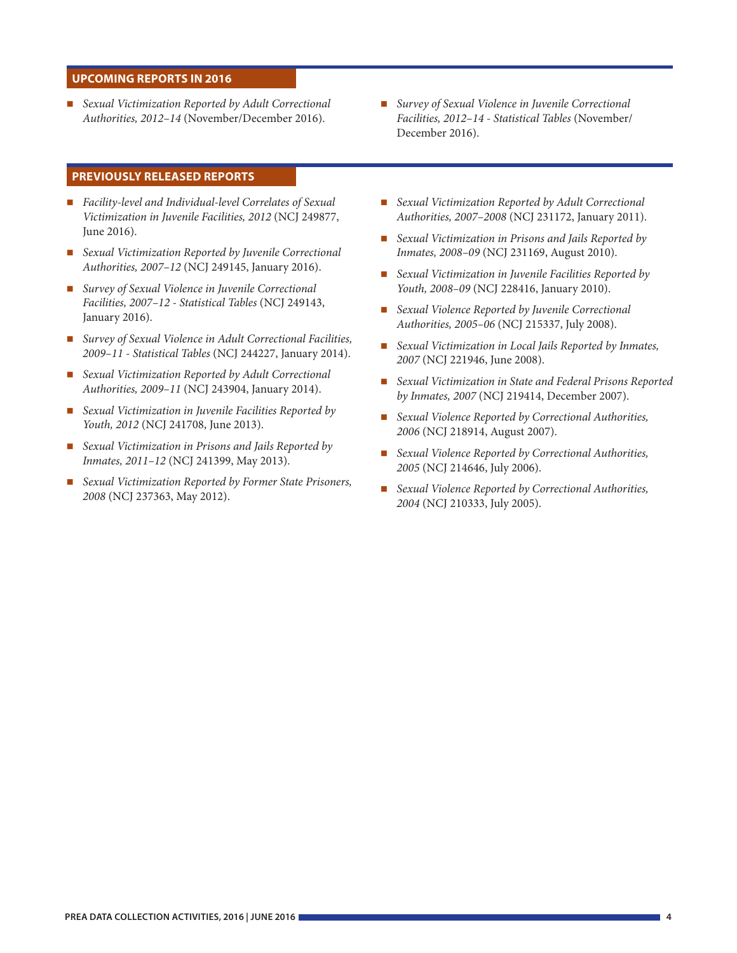#### **UPCOMING REPORTS IN 2016**

 *Sexual Victimization Reported by Adult Correctional Authorities, 2012–14* (November/December 2016).

#### **PREVIOUSLY RELEASED REPORTS**

- *Facility-level and Individual-level Correlates of Sexual Victimization in Juvenile Facilities, 2012* (NCJ 249877, June 2016).
- *Sexual Victimization Reported by Juvenile Correctional Authorities, 2007–12* (NCJ 249145, January 2016).
- *Survey of Sexual Violence in Juvenile Correctional Facilities, 2007–12 - Statistical Tables* (NCJ 249143, January 2016).
- *Survey of Sexual Violence in Adult Correctional Facilities, 2009–11 - Statistical Tables* (NCJ 244227, January 2014).
- *Sexual Victimization Reported by Adult Correctional Authorities, 2009–11* (NCJ 243904, January 2014).
- *Sexual Victimization in Juvenile Facilities Reported by Youth, 2012* (NCJ 241708, June 2013).
- *Sexual Victimization in Prisons and Jails Reported by Inmates, 2011–12* (NCJ 241399, May 2013).
- *Sexual Victimization Reported by Former State Prisoners, 2008* (NCJ 237363, May 2012).
- *Survey of Sexual Violence in Juvenile Correctional Facilities, 2012–14 - Statistical Tables* (November/ December 2016).
- *Sexual Victimization Reported by Adult Correctional Authorities, 2007–2008* (NCJ 231172, January 2011).
- *Sexual Victimization in Prisons and Jails Reported by Inmates, 2008–09* (NCJ 231169, August 2010).
- *Sexual Victimization in Juvenile Facilities Reported by Youth, 2008–09* (NCJ 228416, January 2010).
- *Sexual Violence Reported by Juvenile Correctional Authorities, 2005–06* (NCJ 215337, July 2008).
- *Sexual Victimization in Local Jails Reported by Inmates, 2007* (NCJ 221946, June 2008).
- *Sexual Victimization in State and Federal Prisons Reported by Inmates, 2007* (NCJ 219414, December 2007).
- *Sexual Violence Reported by Correctional Authorities, 2006* (NCJ 218914, August 2007).
- *Sexual Violence Reported by Correctional Authorities, 2005* (NCJ 214646, July 2006).
- *Sexual Violence Reported by Correctional Authorities, 2004* (NCJ 210333, July 2005).